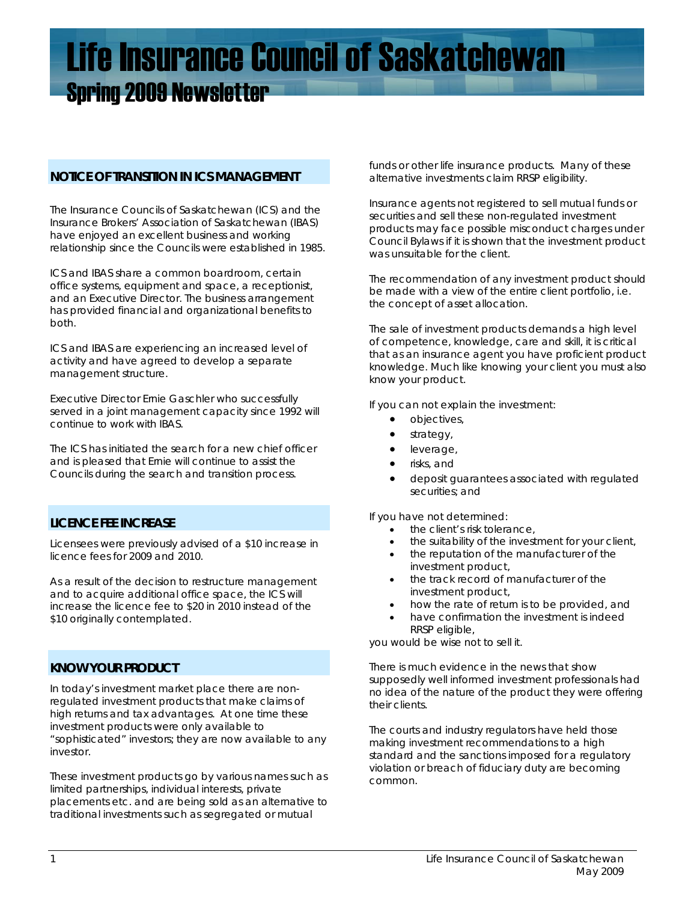# Life Insurance Council of Saskatchewan Spring 2009 Newsletter

## **NOTICE OF TRANSITION IN ICS MANAGEMENT**

The Insurance Councils of Saskatchewan (ICS) and the Insurance Brokers' Association of Saskatchewan (IBAS) have enjoyed an excellent business and working relationship since the Councils were established in 1985.

ICS and IBAS share a common boardroom, certain office systems, equipment and space, a receptionist, and an Executive Director. The business arrangement has provided financial and organizational benefits to both.

ICS and IBAS are experiencing an increased level of activity and have agreed to develop a separate management structure.

Executive Director Ernie Gaschler who successfully served in a joint management capacity since 1992 will continue to work with IBAS.

The ICS has initiated the search for a new chief officer and is pleased that Ernie will continue to assist the Councils during the search and transition process.

# **LICENCE FEE INCREASE**

Licensees were previously advised of a \$10 increase in licence fees for 2009 and 2010.

As a result of the decision to restructure management and to acquire additional office space, the ICS will increase the licence fee to \$20 in 2010 instead of the \$10 originally contemplated.

## **KNOW YOUR PRODUCT**

In today's investment market place there are nonregulated investment products that make claims of high returns and tax advantages. At one time these investment products were only available to "sophisticated" investors; they are now available to any investor.

These investment products go by various names such as limited partnerships, individual interests, private placements etc. and are being sold as an alternative to traditional investments such as segregated or mutual

funds or other life insurance products. Many of these alternative investments claim RRSP eligibility.

Insurance agents not registered to sell mutual funds or securities and sell these non-regulated investment products may face possible misconduct charges under Council Bylaws if it is shown that the investment product was unsuitable for the client.

The recommendation of any investment product should be made with a view of the entire client portfolio, i.e. the concept of asset allocation.

The sale of investment products demands a high level of competence, knowledge, care and skill, it is critical that as an insurance agent you have proficient product knowledge. Much like knowing your client you must also know your product.

If you can not explain the investment:

- objectives,
- strategy,
- leverage,
- risks, and
- deposit guarantees associated with regulated securities; and

If you have not determined:

- the client's risk tolerance,
- the suitability of the investment for your client,
- the reputation of the manufacturer of the investment product,
- the track record of manufacturer of the investment product,
- how the rate of return is to be provided, and
- have confirmation the investment is indeed RRSP eligible,

you would be wise not to sell it.

There is much evidence in the news that show supposedly well informed investment professionals had no idea of the nature of the product they were offering their clients.

The courts and industry regulators have held those making investment recommendations to a high standard and the sanctions imposed for a regulatory violation or breach of fiduciary duty are becoming common.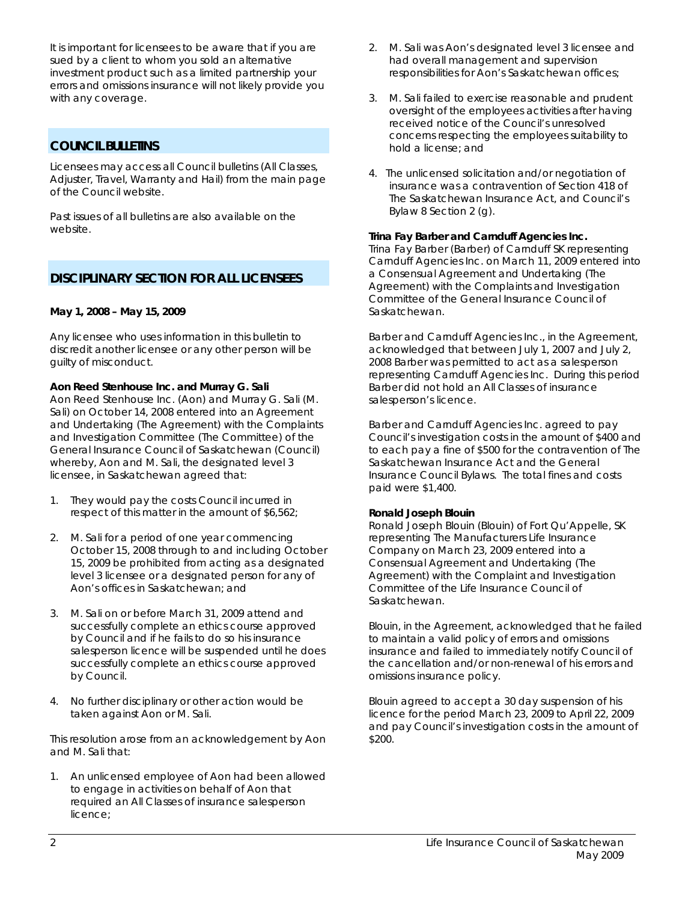It is important for licensees to be aware that if you are sued by a client to whom you sold an alternative investment product such as a limited partnership your errors and omissions insurance will not likely provide you with any coverage.

# **COUNCIL BULLETINS**

Licensees may access all Council bulletins (All Classes, Adjuster, Travel, Warranty and Hail) from the main page of the Council website.

Past issues of all bulletins are also available on the website.

# **DISCIPLINARY SECTION FOR ALL LICENSEES**

## **May 1, 2008 – May 15, 2009**

Any licensee who uses information in this bulletin to discredit another licensee or any other person will be guilty of misconduct.

## **Aon Reed Stenhouse Inc. and Murray G. Sali**

Aon Reed Stenhouse Inc. (Aon) and Murray G. Sali (M. Sali) on October 14, 2008 entered into an Agreement and Undertaking (The Agreement) with the Complaints and Investigation Committee (The Committee) of the General Insurance Council of Saskatchewan (Council) whereby, Aon and M. Sali, the designated level 3 licensee, in Saskatchewan agreed that:

- 1. They would pay the costs Council incurred in respect of this matter in the amount of \$6,562;
- 2. M. Sali for a period of one year commencing October 15, 2008 through to and including October 15, 2009 be prohibited from acting as a designated level 3 licensee or a designated person for any of Aon's offices in Saskatchewan; and
- 3. M. Sali on or before March 31, 2009 attend and successfully complete an ethics course approved by Council and if he fails to do so his insurance salesperson licence will be suspended until he does successfully complete an ethics course approved by Council.
- 4. No further disciplinary or other action would be taken against Aon or M. Sali.

 This resolution arose from an acknowledgement by Aon and M. Sali that:

1. An unlicensed employee of Aon had been allowed to engage in activities on behalf of Aon that required an All Classes of insurance salesperson licence;

- 2. M. Sali was Aon's designated level 3 licensee and had overall management and supervision responsibilities for Aon's Saskatchewan offices;
- 3. M. Sali failed to exercise reasonable and prudent oversight of the employees activities after having received notice of the Council's unresolved concerns respecting the employees suitability to hold a license; and
- 4. The unlicensed solicitation and/or negotiation of insurance was a contravention of Section 418 of *The Saskatchewan Insurance Act,* and Council's Bylaw 8 Section 2 (g).

## **Trina Fay Barber and Carnduff Agencies Inc.**

Trina Fay Barber (Barber) of Carnduff SK representing Carnduff Agencies Inc. on March 11, 2009 entered into a Consensual Agreement and Undertaking (The Agreement) with the Complaints and Investigation Committee of the General Insurance Council of Saskatchewan.

Barber and Carnduff Agencies Inc., in the Agreement, acknowledged that between July 1, 2007 and July 2, 2008 Barber was permitted to act as a salesperson representing Carnduff Agencies Inc. During this period Barber did not hold an All Classes of insurance salesperson's licence.

Barber and Carnduff Agencies Inc. agreed to pay Council's investigation costs in the amount of \$400 and to each pay a fine of \$500 for the contravention of *The Saskatchewan Insurance Act* and the General Insurance Council Bylaws. The total fines and costs paid were \$1,400.

#### **Ronald Joseph Blouin**

Ronald Joseph Blouin (Blouin) of Fort Qu'Appelle, SK representing The Manufacturers Life Insurance Company on March 23, 2009 entered into a Consensual Agreement and Undertaking (The Agreement) with the Complaint and Investigation Committee of the Life Insurance Council of Saskatchewan.

Blouin, in the Agreement, acknowledged that he failed to maintain a valid policy of errors and omissions insurance and failed to immediately notify Council of the cancellation and/or non-renewal of his errors and omissions insurance policy.

Blouin agreed to accept a 30 day suspension of his licence for the period March 23, 2009 to April 22, 2009 and pay Council's investigation costs in the amount of \$200.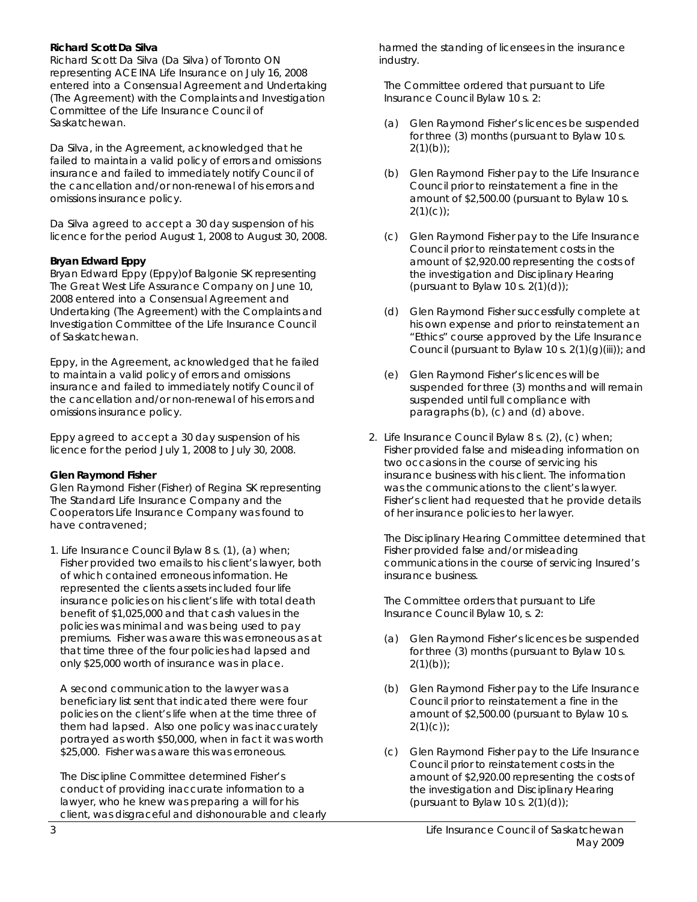#### **Richard Scott Da Silva**

Richard Scott Da Silva (Da Silva) of Toronto ON representing ACE INA Life Insurance on July 16, 2008 entered into a Consensual Agreement and Undertaking (The Agreement) with the Complaints and Investigation Committee of the Life Insurance Council of Saskatchewan.

Da Silva, in the Agreement, acknowledged that he failed to maintain a valid policy of errors and omissions insurance and failed to immediately notify Council of the cancellation and/or non-renewal of his errors and omissions insurance policy.

Da Silva agreed to accept a 30 day suspension of his licence for the period August 1, 2008 to August 30, 2008.

# **Bryan Edward Eppy**

Bryan Edward Eppy (Eppy)of Balgonie SK representing The Great West Life Assurance Company on June 10, 2008 entered into a Consensual Agreement and Undertaking (The Agreement) with the Complaints and Investigation Committee of the Life Insurance Council of Saskatchewan.

Eppy, in the Agreement, acknowledged that he failed to maintain a valid policy of errors and omissions insurance and failed to immediately notify Council of the cancellation and/or non-renewal of his errors and omissions insurance policy.

Eppy agreed to accept a 30 day suspension of his licence for the period July 1, 2008 to July 30, 2008.

## **Glen Raymond Fisher**

Glen Raymond Fisher (Fisher) of Regina SK representing The Standard Life Insurance Company and the Cooperators Life Insurance Company was found to have contravened;

1. Life Insurance Council Bylaw 8 s. (1), (a) when; Fisher provided two emails to his client's lawyer, both of which contained erroneous information. He represented the clients assets included four life insurance policies on his client's life with total death benefit of \$1,025,000 and that cash values in the policies was minimal and was being used to pay premiums. Fisher was aware this was erroneous as at that time three of the four policies had lapsed and only \$25,000 worth of insurance was in place.

 A second communication to the lawyer was a beneficiary list sent that indicated there were four policies on the client's life when at the time three of them had lapsed. Also one policy was inaccurately portrayed as worth \$50,000, when in fact it was worth \$25,000. Fisher was aware this was erroneous.

 The Discipline Committee determined Fisher's conduct of providing inaccurate information to a lawyer, who he knew was preparing a will for his client, was disgraceful and dishonourable and clearly harmed the standing of licensees in the insurance industry.

 The Committee ordered that pursuant to Life Insurance Council Bylaw 10 s. 2:

- (a) Glen Raymond Fisher's licences be suspended for three (3) months (pursuant to Bylaw 10 s.  $2(1)(b)$ ;
- (b) Glen Raymond Fisher pay to the Life Insurance Council prior to reinstatement a fine in the amount of \$2,500.00 (pursuant to Bylaw 10 s.  $2(1)(c)$ ;
- (c) Glen Raymond Fisher pay to the Life Insurance Council prior to reinstatement costs in the amount of \$2,920.00 representing the costs of the investigation and Disciplinary Hearing (pursuant to Bylaw 10 s.  $2(1)(d)$ );
- (d) Glen Raymond Fisher successfully complete at his own expense and prior to reinstatement an "Ethics" course approved by the Life Insurance Council (pursuant to Bylaw 10 s. 2(1)(g)(iii)); and
- (e) Glen Raymond Fisher's licences will be suspended for three (3) months and will remain suspended until full compliance with paragraphs (b), (c) and (d) above.
- 2. Life Insurance Council Bylaw 8 s. (2), (c) when; Fisher provided false and misleading information on two occasions in the course of servicing his insurance business with his client. The information was the communications to the client's lawyer. Fisher's client had requested that he provide details of her insurance policies to her lawyer.

 The Disciplinary Hearing Committee determined that Fisher provided false and/or misleading communications in the course of servicing Insured's insurance business.

 The Committee orders that pursuant to Life Insurance Council Bylaw 10, s. 2:

- (a) Glen Raymond Fisher's licences be suspended for three (3) months (pursuant to Bylaw 10 s.  $2(1)(b)$ ;
- (b) Glen Raymond Fisher pay to the Life Insurance Council prior to reinstatement a fine in the amount of \$2,500.00 (pursuant to Bylaw 10 s.  $2(1)(c)$ ;
- (c) Glen Raymond Fisher pay to the Life Insurance Council prior to reinstatement costs in the amount of \$2,920.00 representing the costs of the investigation and Disciplinary Hearing (pursuant to Bylaw 10 s.  $2(1)(d)$ );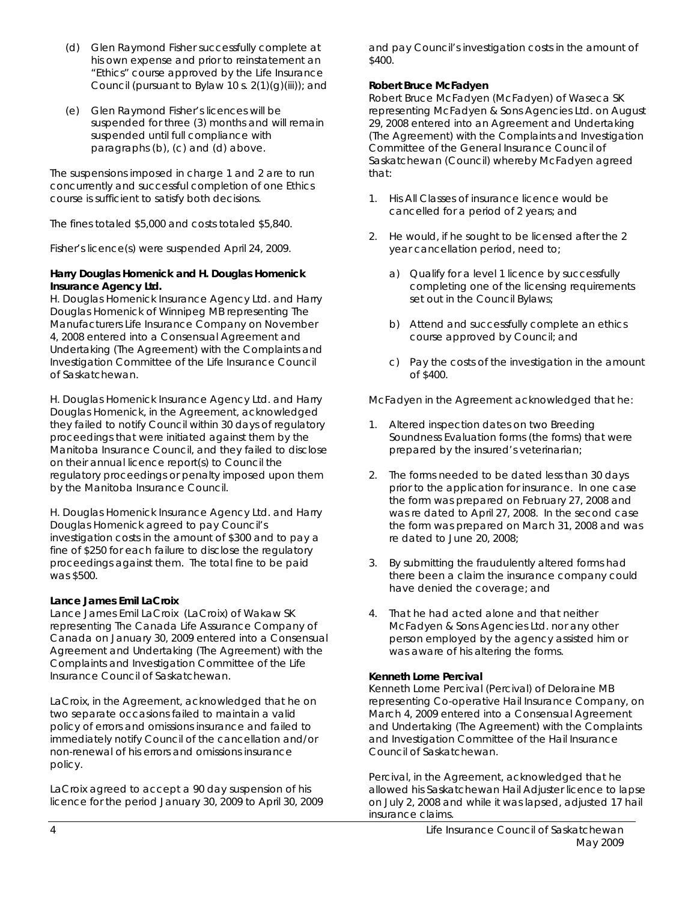- (d) Glen Raymond Fisher successfully complete at his own expense and prior to reinstatement an "Ethics" course approved by the Life Insurance Council (pursuant to Bylaw 10 s.  $2(1)(g)(iii)$ ; and
- (e) Glen Raymond Fisher's licences will be suspended for three (3) months and will remain suspended until full compliance with paragraphs (b), (c) and (d) above.

The suspensions imposed in charge 1 and 2 are to run concurrently and successful completion of one Ethics course is sufficient to satisfy both decisions.

The fines totaled \$5,000 and costs totaled \$5,840.

Fisher's licence(s) were suspended April 24, 2009.

#### **Harry Douglas Homenick and H. Douglas Homenick Insurance Agency Ltd.**

H. Douglas Homenick Insurance Agency Ltd. and Harry Douglas Homenick of Winnipeg MB representing The Manufacturers Life Insurance Company on November 4, 2008 entered into a Consensual Agreement and Undertaking (The Agreement) with the Complaints and Investigation Committee of the Life Insurance Council of Saskatchewan.

H. Douglas Homenick Insurance Agency Ltd. and Harry Douglas Homenick, in the Agreement, acknowledged they failed to notify Council within 30 days of regulatory proceedings that were initiated against them by the Manitoba Insurance Council, and they failed to disclose on their annual licence report(s) to Council the regulatory proceedings or penalty imposed upon them by the Manitoba Insurance Council.

H. Douglas Homenick Insurance Agency Ltd. and Harry Douglas Homenick agreed to pay Council's investigation costs in the amount of \$300 and to pay a fine of \$250 for each failure to disclose the regulatory proceedings against them. The total fine to be paid was \$500.

#### **Lance James Emil LaCroix**

Lance James Emil LaCroix (LaCroix) of Wakaw SK representing The Canada Life Assurance Company of Canada on January 30, 2009 entered into a Consensual Agreement and Undertaking (The Agreement) with the Complaints and Investigation Committee of the Life Insurance Council of Saskatchewan.

LaCroix, in the Agreement, acknowledged that he on two separate occasions failed to maintain a valid policy of errors and omissions insurance and failed to immediately notify Council of the cancellation and/or non-renewal of his errors and omissions insurance policy.

LaCroix agreed to accept a 90 day suspension of his licence for the period January 30, 2009 to April 30, 2009 and pay Council's investigation costs in the amount of \$400.

#### **Robert Bruce McFadyen**

Robert Bruce McFadyen (McFadyen) of Waseca SK representing McFadyen & Sons Agencies Ltd. on August 29, 2008 entered into an Agreement and Undertaking (The Agreement) with the Complaints and Investigation Committee of the General Insurance Council of Saskatchewan (Council) whereby McFadyen agreed that:

- 1. His All Classes of insurance licence would be cancelled for a period of 2 years; and
- 2. He would, if he sought to be licensed after the 2 year cancellation period, need to;
	- a) Qualify for a level 1 licence by successfully completing one of the licensing requirements set out in the Council Bylaws;
	- b) Attend and successfully complete an ethics course approved by Council; and
	- c) Pay the costs of the investigation in the amount of \$400.

McFadyen in the Agreement acknowledged that he:

- 1. Altered inspection dates on two Breeding Soundness Evaluation forms (the forms) that were prepared by the insured's veterinarian;
- 2. The forms needed to be dated less than 30 days prior to the application for insurance. In one case the form was prepared on February 27, 2008 and was re dated to April 27, 2008. In the second case the form was prepared on March 31, 2008 and was re dated to June 20, 2008;
- 3. By submitting the fraudulently altered forms had there been a claim the insurance company could have denied the coverage; and
- 4. That he had acted alone and that neither McFadyen & Sons Agencies Ltd. nor any other person employed by the agency assisted him or was aware of his altering the forms.

#### **Kenneth Lorne Percival**

Kenneth Lorne Percival (Percival) of Deloraine MB representing Co-operative Hail Insurance Company, on March 4, 2009 entered into a Consensual Agreement and Undertaking (The Agreement) with the Complaints and Investigation Committee of the Hail Insurance Council of Saskatchewan.

Percival, in the Agreement, acknowledged that he allowed his Saskatchewan Hail Adjuster licence to lapse on July 2, 2008 and while it was lapsed, adjusted 17 hail insurance claims.